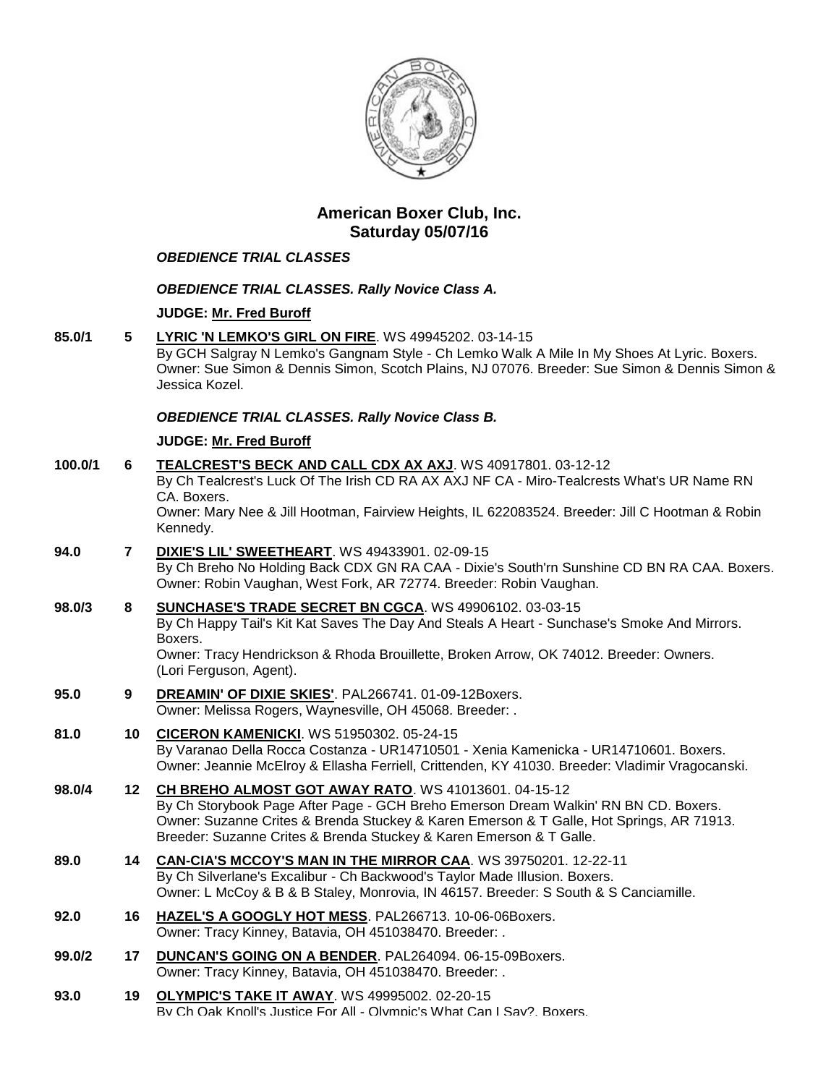

# **American Boxer Club, Inc. Saturday 05/07/16**

# *OBEDIENCE TRIAL CLASSES*

## *OBEDIENCE TRIAL CLASSES. Rally Novice Class A.*

### **JUDGE: [Mr. Fred Buroff](http://infodog.com/show/judge/jdgprofile.htm?jn=5277)**

**85.0/1 5 [LYRIC 'N LEMKO'S GIRL ON FIRE](http://infodog.com/my/drlookup2.htm?makc=WS%2049945202&mdog=Lyric+%27N+Lemko%27s+Girl+On+Fire&wins=all)**. WS 49945202. 03-14-15 By GCH Salgray N Lemko's Gangnam Style - Ch Lemko Walk A Mile In My Shoes At Lyric. Boxers. Owner: Sue Simon & Dennis Simon, Scotch Plains, NJ 07076. Breeder: Sue Simon & Dennis Simon & Jessica Kozel.

### *OBEDIENCE TRIAL CLASSES. Rally Novice Class B.*

### **JUDGE: [Mr. Fred Buroff](http://infodog.com/show/judge/jdgprofile.htm?jn=5277)**

| 100.0/1 | 6              | TEALCREST'S BECK AND CALL CDX AX AXJ. WS 40917801. 03-12-12<br>By Ch Tealcrest's Luck Of The Irish CD RA AX AXJ NF CA - Miro-Tealcrests What's UR Name RN<br>CA. Boxers.<br>Owner: Mary Nee & Jill Hootman, Fairview Heights, IL 622083524. Breeder: Jill C Hootman & Robin<br>Kennedy.                               |
|---------|----------------|-----------------------------------------------------------------------------------------------------------------------------------------------------------------------------------------------------------------------------------------------------------------------------------------------------------------------|
| 94.0    | $\overline{7}$ | <b>DIXIE'S LIL' SWEETHEART. WS 49433901. 02-09-15</b><br>By Ch Breho No Holding Back CDX GN RA CAA - Dixie's South'rn Sunshine CD BN RA CAA. Boxers.<br>Owner: Robin Vaughan, West Fork, AR 72774. Breeder: Robin Vaughan.                                                                                            |
| 98.0/3  | 8              | SUNCHASE'S TRADE SECRET BN CGCA. WS 49906102. 03-03-15<br>By Ch Happy Tail's Kit Kat Saves The Day And Steals A Heart - Sunchase's Smoke And Mirrors.<br>Boxers.<br>Owner: Tracy Hendrickson & Rhoda Brouillette, Broken Arrow, OK 74012. Breeder: Owners.<br>(Lori Ferguson, Agent).                                 |
| 95.0    | 9              | DREAMIN' OF DIXIE SKIES'. PAL266741. 01-09-12Boxers.<br>Owner: Melissa Rogers, Waynesville, OH 45068. Breeder: .                                                                                                                                                                                                      |
| 81.0    | 10             | <b>CICERON KAMENICKI.</b> WS 51950302. 05-24-15<br>By Varanao Della Rocca Costanza - UR14710501 - Xenia Kamenicka - UR14710601. Boxers.<br>Owner: Jeannie McElroy & Ellasha Ferriell, Crittenden, KY 41030. Breeder: Vladimir Vragocanski.                                                                            |
| 98.0/4  | 12             | <b>CH BREHO ALMOST GOT AWAY RATO. WS 41013601. 04-15-12</b><br>By Ch Storybook Page After Page - GCH Breho Emerson Dream Walkin' RN BN CD. Boxers.<br>Owner: Suzanne Crites & Brenda Stuckey & Karen Emerson & T Galle, Hot Springs, AR 71913.<br>Breeder: Suzanne Crites & Brenda Stuckey & Karen Emerson & T Galle. |
| 89.0    | 14             | CAN-CIA'S MCCOY'S MAN IN THE MIRROR CAA. WS 39750201. 12-22-11<br>By Ch Silverlane's Excalibur - Ch Backwood's Taylor Made Illusion. Boxers.<br>Owner: L McCoy & B & B Staley, Monrovia, IN 46157. Breeder: S South & S Canciamille.                                                                                  |
| 92.0    | 16             | HAZEL'S A GOOGLY HOT MESS. PAL266713. 10-06-06Boxers.<br>Owner: Tracy Kinney, Batavia, OH 451038470. Breeder: .                                                                                                                                                                                                       |
| 99.0/2  | 17             | DUNCAN'S GOING ON A BENDER. PAL264094. 06-15-09Boxers.<br>Owner: Tracy Kinney, Batavia, OH 451038470. Breeder: .                                                                                                                                                                                                      |
| 93.0    | 19             | <b>OLYMPIC'S TAKE IT AWAY. WS 49995002. 02-20-15</b><br>By Ch Oak Knoll's Justice For All - Olympic's What Can I Sav?. Boxers.                                                                                                                                                                                        |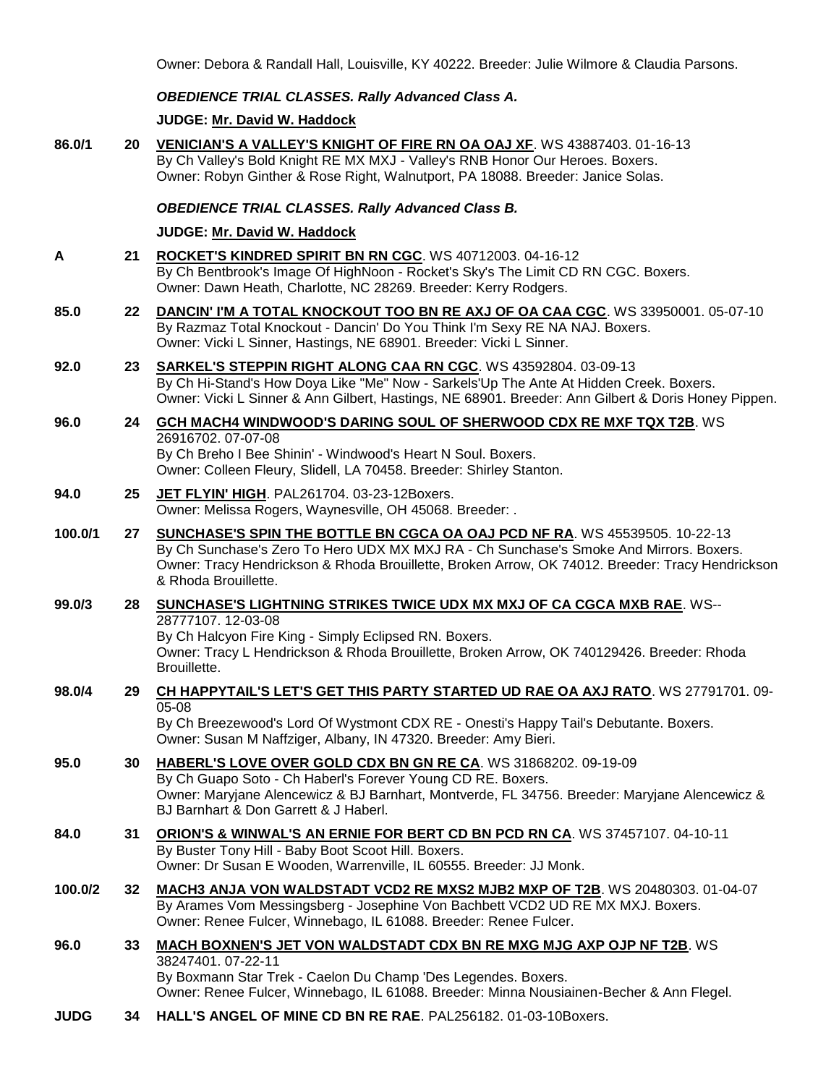Owner: Debora & Randall Hall, Louisville, KY 40222. Breeder: Julie Wilmore & Claudia Parsons.

## *OBEDIENCE TRIAL CLASSES. Rally Advanced Class A.*

**JUDGE: [Mr. David W. Haddock](http://infodog.com/show/judge/jdgprofile.htm?jn=18846)**

- **86.0/1 20 [VENICIAN'S A VALLEY'S KNIGHT OF FIRE RN OA OAJ XF](http://infodog.com/my/drlookup2.htm?makc=WS%2043887403&mdog=Venician%27s+A+Valley%27s+Knight+Of+Fire+RN+OA+OAJ+XF&wins=all)**. WS 43887403. 01-16-13 By Ch Valley's Bold Knight RE MX MXJ - Valley's RNB Honor Our Heroes. Boxers. Owner: Robyn Ginther & Rose Right, Walnutport, PA 18088. Breeder: Janice Solas. *OBEDIENCE TRIAL CLASSES. Rally Advanced Class B.* **JUDGE: [Mr. David W. Haddock](http://infodog.com/show/judge/jdgprofile.htm?jn=18846) A 21 [ROCKET'S KINDRED SPIRIT BN RN CGC](http://infodog.com/my/drlookup2.htm?makc=WS%2040712003&mdog=Rocket%27s+Kindred+Spirit+BN+RN+CGC&wins=all)**. WS 40712003. 04-16-12 By Ch Bentbrook's Image Of HighNoon - Rocket's Sky's The Limit CD RN CGC. Boxers. Owner: Dawn Heath, Charlotte, NC 28269. Breeder: Kerry Rodgers. **85.0 22 [DANCIN' I'M A TOTAL KNOCKOUT TOO BN RE AXJ OF OA CAA CGC](http://infodog.com/my/drlookup2.htm?makc=WS%2033950001&mdog=Dancin%27+I%27m+A+Total+Knockout+Too+BN+RE+AXJ+OF+OA+CAA+CGC&wins=all)**. WS 33950001. 05-07-10 By Razmaz Total Knockout - Dancin' Do You Think I'm Sexy RE NA NAJ. Boxers. Owner: Vicki L Sinner, Hastings, NE 68901. Breeder: Vicki L Sinner. **92.0 23 [SARKEL'S STEPPIN RIGHT ALONG CAA RN CGC](http://infodog.com/my/drlookup2.htm?makc=WS%2043592804&mdog=Sarkel%27s+Steppin+Right+Along+CAA+RN+CGC&wins=all)**. WS 43592804. 03-09-13 By Ch Hi-Stand's How Doya Like "Me" Now - Sarkels'Up The Ante At Hidden Creek. Boxers. Owner: Vicki L Sinner & Ann Gilbert, Hastings, NE 68901. Breeder: Ann Gilbert & Doris Honey Pippen. **96.0 24 [GCH MACH4 WINDWOOD'S DARING SOUL OF SHERWOOD CDX RE MXF TQX T2B](http://infodog.com/my/drlookup2.htm?makc=WS%2026916702&mdog=GCH+MACH4+Windwood%27s+Daring+Soul+Of+Sherwood+CDX+RE+MXF+TQX+T2B&wins=all)**. WS 26916702. 07-07-08 By Ch Breho I Bee Shinin' - Windwood's Heart N Soul. Boxers. Owner: Colleen Fleury, Slidell, LA 70458. Breeder: Shirley Stanton.
- **94.0 25 [JET FLYIN' HIGH](http://infodog.com/my/drlookup2.htm?makc=PAL261704&mdog=Jet+Flyin%27+High&wins=all)**. PAL261704. 03-23-12Boxers. Owner: Melissa Rogers, Waynesville, OH 45068. Breeder: .
- **100.0/1 27 [SUNCHASE'S SPIN THE BOTTLE BN CGCA OA OAJ PCD NF RA](http://infodog.com/my/drlookup2.htm?makc=WS%2045539505&mdog=Sunchase%27s+Spin+The+Bottle+BN+CGCA+OA+OAJ+PCD+NF+RA&wins=all)**. WS 45539505. 10-22-13 By Ch Sunchase's Zero To Hero UDX MX MXJ RA - Ch Sunchase's Smoke And Mirrors. Boxers. Owner: Tracy Hendrickson & Rhoda Brouillette, Broken Arrow, OK 74012. Breeder: Tracy Hendrickson & Rhoda Brouillette.
- **99.0/3 28 [SUNCHASE'S LIGHTNING STRIKES TWICE UDX MX MXJ OF CA CGCA MXB RAE](http://infodog.com/my/drlookup2.htm?makc=WS--28777107&mdog=Sunchase%27s+Lightning+Strikes+Twice+UDX+MX+MXJ+OF+CA+CGCA+MXB+RAE&wins=all)**. WS-- 28777107. 12-03-08 By Ch Halcyon Fire King - Simply Eclipsed RN. Boxers. Owner: Tracy L Hendrickson & Rhoda Brouillette, Broken Arrow, OK 740129426. Breeder: Rhoda Brouillette.
- **98.0/4 29 [CH HAPPYTAIL'S LET'S GET THIS PARTY STARTED UD RAE OA AXJ RATO](http://infodog.com/my/drlookup2.htm?makc=WS%2027791701&mdog=Ch+Happytail%27s+Let%27s+Get+This+Party+Started+UD+RAE+OA+AXJ+RATO&wins=all)**. WS 27791701. 09- 05-08

By Ch Breezewood's Lord Of Wystmont CDX RE - Onesti's Happy Tail's Debutante. Boxers. Owner: Susan M Naffziger, Albany, IN 47320. Breeder: Amy Bieri.

- **95.0 30 [HABERL'S LOVE OVER GOLD CDX BN GN RE CA](http://infodog.com/my/drlookup2.htm?makc=WS%2031868202&mdog=Haberl%27s+Love+Over+Gold+CDX+BN+GN+RE+CA&wins=all)**. WS 31868202. 09-19-09 By Ch Guapo Soto - Ch Haberl's Forever Young CD RE. Boxers. Owner: Maryjane Alencewicz & BJ Barnhart, Montverde, FL 34756. Breeder: Maryjane Alencewicz & BJ Barnhart & Don Garrett & J Haberl. **84.0 31 [ORION'S & WINWAL'S AN ERNIE FOR BERT CD BN PCD RN CA](http://infodog.com/my/drlookup2.htm?makc=WS%2037457107&mdog=Orion%27s+&+Winwal%27s+An+Ernie+For+Bert+CD+BN+PCD+RN+CA&wins=all)**. WS 37457107. 04-10-11 By Buster Tony Hill - Baby Boot Scoot Hill. Boxers. Owner: Dr Susan E Wooden, Warrenville, IL 60555. Breeder: JJ Monk.
- **100.0/2 32 [MACH3 ANJA VON WALDSTADT VCD2 RE MXS2 MJB2 MXP OF T2B](http://infodog.com/my/drlookup2.htm?makc=WS%2020480303&mdog=MACH3+Anja+Von+Waldstadt+VCD2+RE+MXS2+MJB2+MXP+OF+T2B&wins=all)**. WS 20480303. 01-04-07 By Arames Vom Messingsberg - Josephine Von Bachbett VCD2 UD RE MX MXJ. Boxers. Owner: Renee Fulcer, Winnebago, IL 61088. Breeder: Renee Fulcer.
- **96.0 33 [MACH BOXNEN'S JET VON WALDSTADT CDX BN RE MXG MJG AXP OJP NF T2B](http://infodog.com/my/drlookup2.htm?makc=WS%2038247401&mdog=MACH+Boxnen%27s+Jet+Von+Waldstadt+CDX+BN+RE+MXG+MJG+AXP+OJP+NF+T2B&wins=all)**. WS 38247401. 07-22-11 By Boxmann Star Trek - Caelon Du Champ 'Des Legendes. Boxers. Owner: Renee Fulcer, Winnebago, IL 61088. Breeder: Minna Nousiainen-Becher & Ann Flegel.
- **JUDG 34 [HALL'S ANGEL OF MINE CD BN RE RAE](http://infodog.com/my/drlookup2.htm?makc=PAL256182&mdog=Hall%27s+Angel+Of+Mine+CD+BN+RE+RAE&wins=all)**. PAL256182. 01-03-10Boxers.